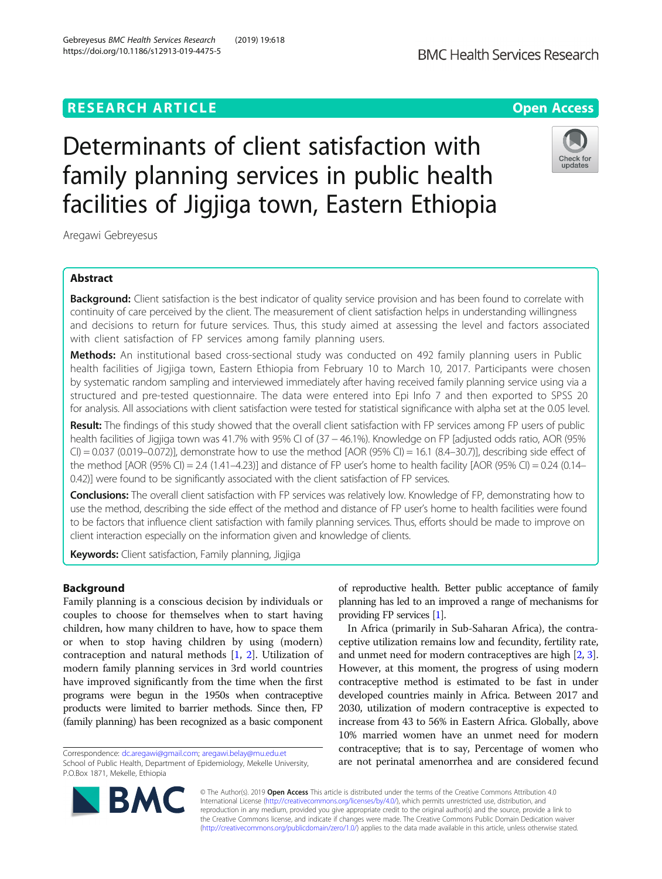# **RESEARCH ARTICLE Example 2014 12:30 The Open Access**

# Determinants of client satisfaction with family planning services in public health facilities of Jigjiga town, Eastern Ethiopia

Aregawi Gebreyesus

# Abstract

**Background:** Client satisfaction is the best indicator of quality service provision and has been found to correlate with continuity of care perceived by the client. The measurement of client satisfaction helps in understanding willingness and decisions to return for future services. Thus, this study aimed at assessing the level and factors associated with client satisfaction of FP services among family planning users.

Methods: An institutional based cross-sectional study was conducted on 492 family planning users in Public health facilities of Jigjiga town, Eastern Ethiopia from February 10 to March 10, 2017. Participants were chosen by systematic random sampling and interviewed immediately after having received family planning service using via a structured and pre-tested questionnaire. The data were entered into Epi Info 7 and then exported to SPSS 20 for analysis. All associations with client satisfaction were tested for statistical significance with alpha set at the 0.05 level.

Result: The findings of this study showed that the overall client satisfaction with FP services among FP users of public health facilities of Jigjiga town was 41.7% with 95% CI of (37 – 46.1%). Knowledge on FP [adjusted odds ratio, AOR (95%  $CI$ ) = 0.037 (0.019–0.072)], demonstrate how to use the method [AOR (95% CI) = 16.1 (8.4–30.7)], describing side effect of the method  $[AOR (95\% CI) = 2.4 (1.41–4.23)]$  and distance of FP user's home to health facility  $[AOR (95\% CI) = 0.24 (0.14–1.12)]$ 0.42)] were found to be significantly associated with the client satisfaction of FP services.

**Conclusions:** The overall client satisfaction with FP services was relatively low. Knowledge of FP, demonstrating how to use the method, describing the side effect of the method and distance of FP user's home to health facilities were found to be factors that influence client satisfaction with family planning services. Thus, efforts should be made to improve on client interaction especially on the information given and knowledge of clients.

Keywords: Client satisfaction, Family planning, Jigjiga

# Background

Family planning is a conscious decision by individuals or couples to choose for themselves when to start having children, how many children to have, how to space them or when to stop having children by using (modern) contraception and natural methods [[1,](#page-8-0) [2\]](#page-8-0). Utilization of modern family planning services in 3rd world countries have improved significantly from the time when the first programs were begun in the 1950s when contraceptive products were limited to barrier methods. Since then, FP (family planning) has been recognized as a basic component

Correspondence: [dc.aregawi@gmail.com](mailto:dc.aregawi@gmail.com); [aregawi.belay@mu.edu.et](mailto:aregawi.belay@mu.edu.et) School of Public Health, Department of Epidemiology, Mekelle University, P.O.Box 1871, Mekelle, Ethiopia

of reproductive health. Better public acceptance of family planning has led to an improved a range of mechanisms for providing FP services [\[1\]](#page-8-0).

In Africa (primarily in Sub-Saharan Africa), the contraceptive utilization remains low and fecundity, fertility rate, and unmet need for modern contraceptives are high [\[2,](#page-8-0) [3](#page-8-0)]. However, at this moment, the progress of using modern contraceptive method is estimated to be fast in under developed countries mainly in Africa. Between 2017 and 2030, utilization of modern contraceptive is expected to increase from 43 to 56% in Eastern Africa. Globally, above 10% married women have an unmet need for modern contraceptive; that is to say, Percentage of women who are not perinatal amenorrhea and are considered fecund

© The Author(s). 2019 **Open Access** This article is distributed under the terms of the Creative Commons Attribution 4.0 International License [\(http://creativecommons.org/licenses/by/4.0/](http://creativecommons.org/licenses/by/4.0/)), which permits unrestricted use, distribution, and reproduction in any medium, provided you give appropriate credit to the original author(s) and the source, provide a link to the Creative Commons license, and indicate if changes were made. The Creative Commons Public Domain Dedication waiver [\(http://creativecommons.org/publicdomain/zero/1.0/](http://creativecommons.org/publicdomain/zero/1.0/)) applies to the data made available in this article, unless otherwise stated.

https://doi.org/10.1186/s12913-019-4475-5

Gebreyesus BMC Health Services Research (2019) 19:618



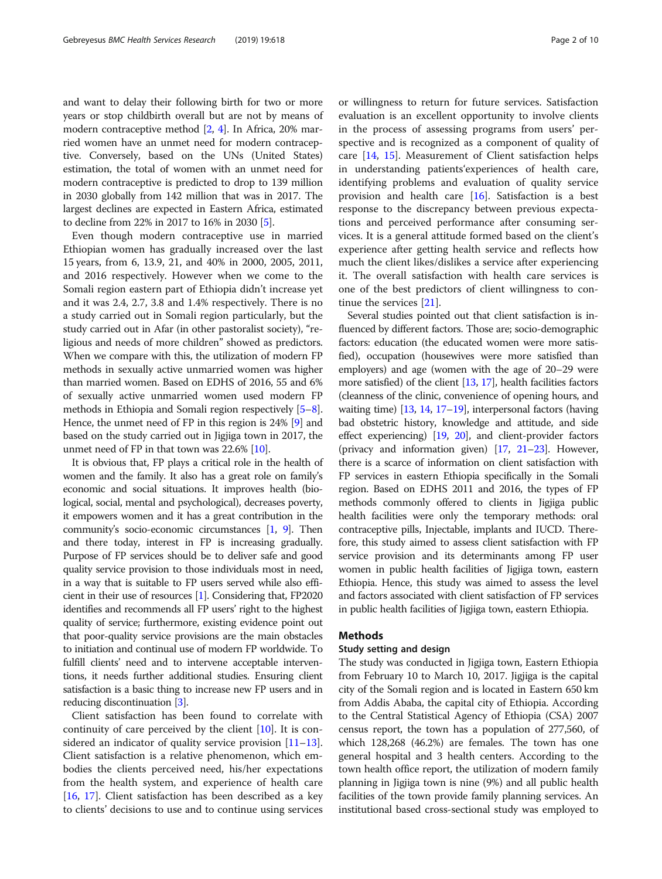and want to delay their following birth for two or more years or stop childbirth overall but are not by means of modern contraceptive method [[2,](#page-8-0) [4\]](#page-8-0). In Africa, 20% married women have an unmet need for modern contraceptive. Conversely, based on the UNs (United States) estimation, the total of women with an unmet need for modern contraceptive is predicted to drop to 139 million in 2030 globally from 142 million that was in 2017. The largest declines are expected in Eastern Africa, estimated to decline from 22% in 2017 to 16% in 2030 [\[5\]](#page-8-0).

Even though modern contraceptive use in married Ethiopian women has gradually increased over the last 15 years, from 6, 13.9, 21, and 40% in 2000, 2005, 2011, and 2016 respectively. However when we come to the Somali region eastern part of Ethiopia didn't increase yet and it was 2.4, 2.7, 3.8 and 1.4% respectively. There is no a study carried out in Somali region particularly, but the study carried out in Afar (in other pastoralist society), "religious and needs of more children" showed as predictors. When we compare with this, the utilization of modern FP methods in sexually active unmarried women was higher than married women. Based on EDHS of 2016, 55 and 6% of sexually active unmarried women used modern FP methods in Ethiopia and Somali region respectively [[5](#page-8-0)–[8](#page-8-0)]. Hence, the unmet need of FP in this region is 24% [\[9\]](#page-8-0) and based on the study carried out in Jigjiga town in 2017, the unmet need of FP in that town was 22.6% [[10](#page-8-0)].

It is obvious that, FP plays a critical role in the health of women and the family. It also has a great role on family's economic and social situations. It improves health (biological, social, mental and psychological), decreases poverty, it empowers women and it has a great contribution in the community's socio-economic circumstances [[1](#page-8-0), [9](#page-8-0)]. Then and there today, interest in FP is increasing gradually. Purpose of FP services should be to deliver safe and good quality service provision to those individuals most in need, in a way that is suitable to FP users served while also efficient in their use of resources [[1](#page-8-0)]. Considering that, FP2020 identifies and recommends all FP users' right to the highest quality of service; furthermore, existing evidence point out that poor-quality service provisions are the main obstacles to initiation and continual use of modern FP worldwide. To fulfill clients' need and to intervene acceptable interventions, it needs further additional studies. Ensuring client satisfaction is a basic thing to increase new FP users and in reducing discontinuation [\[3\]](#page-8-0).

Client satisfaction has been found to correlate with continuity of care perceived by the client [[10\]](#page-8-0). It is considered an indicator of quality service provision  $[11–13]$  $[11–13]$  $[11–13]$  $[11–13]$  $[11–13]$ . Client satisfaction is a relative phenomenon, which embodies the clients perceived need, his/her expectations from the health system, and experience of health care [[16,](#page-9-0) [17\]](#page-9-0). Client satisfaction has been described as a key to clients' decisions to use and to continue using services

or willingness to return for future services. Satisfaction evaluation is an excellent opportunity to involve clients in the process of assessing programs from users' perspective and is recognized as a component of quality of care [\[14,](#page-9-0) [15](#page-9-0)]. Measurement of Client satisfaction helps in understanding patients'experiences of health care, identifying problems and evaluation of quality service provision and health care [\[16\]](#page-9-0). Satisfaction is a best response to the discrepancy between previous expectations and perceived performance after consuming services. It is a general attitude formed based on the client's experience after getting health service and reflects how much the client likes/dislikes a service after experiencing it. The overall satisfaction with health care services is one of the best predictors of client willingness to continue the services [[21\]](#page-9-0).

Several studies pointed out that client satisfaction is influenced by different factors. Those are; socio-demographic factors: education (the educated women were more satisfied), occupation (housewives were more satisfied than employers) and age (women with the age of 20–29 were more satisfied) of the client [[13](#page-8-0), [17\]](#page-9-0), health facilities factors (cleanness of the clinic, convenience of opening hours, and waiting time) [\[13,](#page-8-0) [14](#page-9-0), [17](#page-9-0)–[19](#page-9-0)], interpersonal factors (having bad obstetric history, knowledge and attitude, and side effect experiencing) [\[19](#page-9-0), [20\]](#page-9-0), and client-provider factors (privacy and information given) [[17](#page-9-0), [21](#page-9-0)–[23](#page-9-0)]. However, there is a scarce of information on client satisfaction with FP services in eastern Ethiopia specifically in the Somali region. Based on EDHS 2011 and 2016, the types of FP methods commonly offered to clients in Jigjiga public health facilities were only the temporary methods: oral contraceptive pills, Injectable, implants and IUCD. Therefore, this study aimed to assess client satisfaction with FP service provision and its determinants among FP user women in public health facilities of Jigjiga town, eastern Ethiopia. Hence, this study was aimed to assess the level and factors associated with client satisfaction of FP services in public health facilities of Jigjiga town, eastern Ethiopia.

# **Methods**

### Study setting and design

The study was conducted in Jigjiga town, Eastern Ethiopia from February 10 to March 10, 2017. Jigjiga is the capital city of the Somali region and is located in Eastern 650 km from Addis Ababa, the capital city of Ethiopia. According to the Central Statistical Agency of Ethiopia (CSA) 2007 census report, the town has a population of 277,560, of which 128,268 (46.2%) are females. The town has one general hospital and 3 health centers. According to the town health office report, the utilization of modern family planning in Jigjiga town is nine (9%) and all public health facilities of the town provide family planning services. An institutional based cross-sectional study was employed to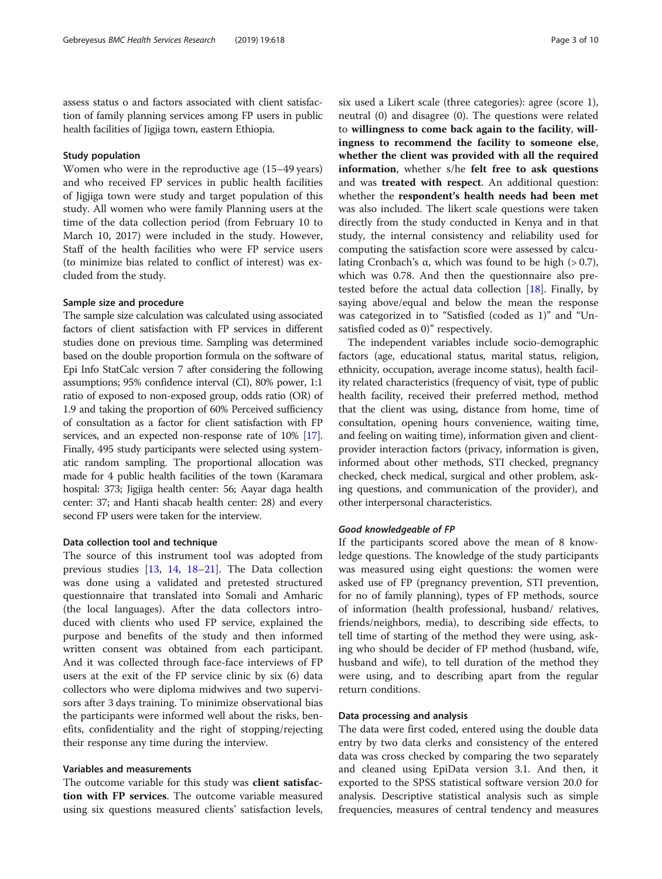assess status o and factors associated with client satisfaction of family planning services among FP users in public health facilities of Jigjiga town, eastern Ethiopia.

# Study population

Women who were in the reproductive age (15–49 years) and who received FP services in public health facilities of Jigjiga town were study and target population of this study. All women who were family Planning users at the time of the data collection period (from February 10 to March 10, 2017) were included in the study. However, Staff of the health facilities who were FP service users (to minimize bias related to conflict of interest) was excluded from the study.

# Sample size and procedure

The sample size calculation was calculated using associated factors of client satisfaction with FP services in different studies done on previous time. Sampling was determined based on the double proportion formula on the software of Epi Info StatCalc version 7 after considering the following assumptions; 95% confidence interval (CI), 80% power, 1:1 ratio of exposed to non-exposed group, odds ratio (OR) of 1.9 and taking the proportion of 60% Perceived sufficiency of consultation as a factor for client satisfaction with FP services, and an expected non-response rate of 10% [[17](#page-9-0)]. Finally, 495 study participants were selected using systematic random sampling. The proportional allocation was made for 4 public health facilities of the town (Karamara hospital: 373; Jigjiga health center: 56; Aayar daga health center: 37; and Hanti shacab health center: 28) and every second FP users were taken for the interview.

#### Data collection tool and technique

The source of this instrument tool was adopted from previous studies [[13](#page-8-0), [14,](#page-9-0) [18](#page-9-0)–[21\]](#page-9-0). The Data collection was done using a validated and pretested structured questionnaire that translated into Somali and Amharic (the local languages). After the data collectors introduced with clients who used FP service, explained the purpose and benefits of the study and then informed written consent was obtained from each participant. And it was collected through face-face interviews of FP users at the exit of the FP service clinic by six (6) data collectors who were diploma midwives and two supervisors after 3 days training. To minimize observational bias the participants were informed well about the risks, benefits, confidentiality and the right of stopping/rejecting their response any time during the interview.

## Variables and measurements

The outcome variable for this study was client satisfaction with FP services. The outcome variable measured using six questions measured clients' satisfaction levels, six used a Likert scale (three categories): agree (score 1), neutral (0) and disagree (0). The questions were related to willingness to come back again to the facility, willingness to recommend the facility to someone else, whether the client was provided with all the required information, whether s/he felt free to ask questions and was treated with respect. An additional question: whether the respondent's health needs had been met was also included. The likert scale questions were taken directly from the study conducted in Kenya and in that study, the internal consistency and reliability used for computing the satisfaction score were assessed by calculating Cronbach's α, which was found to be high (> 0.7), which was 0.78. And then the questionnaire also pretested before the actual data collection  $[18]$  $[18]$  $[18]$ . Finally, by saying above/equal and below the mean the response was categorized in to "Satisfied (coded as 1)" and "Unsatisfied coded as 0)" respectively.

The independent variables include socio-demographic factors (age, educational status, marital status, religion, ethnicity, occupation, average income status), health facility related characteristics (frequency of visit, type of public health facility, received their preferred method, method that the client was using, distance from home, time of consultation, opening hours convenience, waiting time, and feeling on waiting time), information given and clientprovider interaction factors (privacy, information is given, informed about other methods, STI checked, pregnancy checked, check medical, surgical and other problem, asking questions, and communication of the provider), and other interpersonal characteristics.

## Good knowledgeable of FP

If the participants scored above the mean of 8 knowledge questions. The knowledge of the study participants was measured using eight questions: the women were asked use of FP (pregnancy prevention, STI prevention, for no of family planning), types of FP methods, source of information (health professional, husband/ relatives, friends/neighbors, media), to describing side effects, to tell time of starting of the method they were using, asking who should be decider of FP method (husband, wife, husband and wife), to tell duration of the method they were using, and to describing apart from the regular return conditions.

#### Data processing and analysis

The data were first coded, entered using the double data entry by two data clerks and consistency of the entered data was cross checked by comparing the two separately and cleaned using EpiData version 3.1. And then, it exported to the SPSS statistical software version 20.0 for analysis. Descriptive statistical analysis such as simple frequencies, measures of central tendency and measures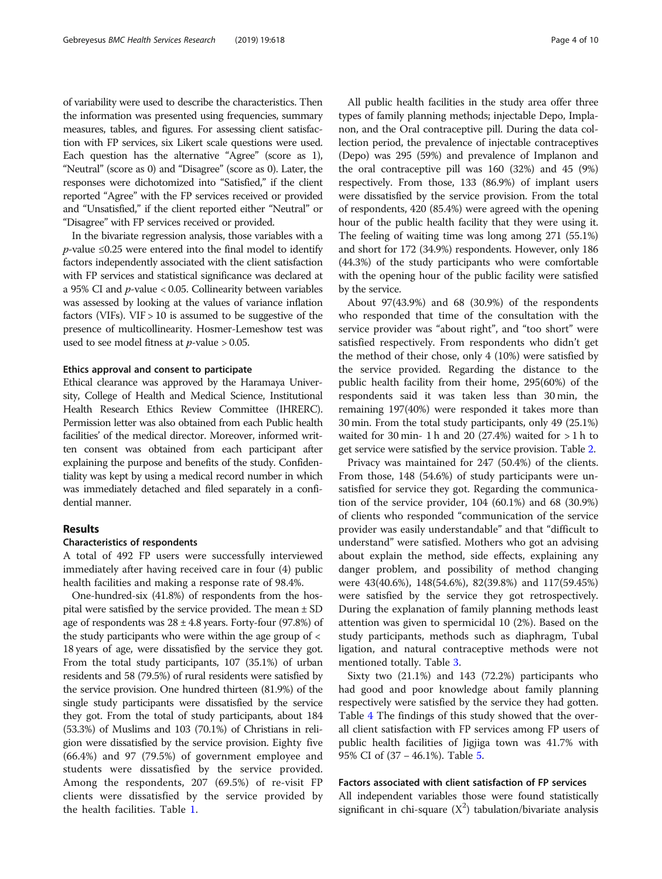of variability were used to describe the characteristics. Then the information was presented using frequencies, summary measures, tables, and figures. For assessing client satisfaction with FP services, six Likert scale questions were used. Each question has the alternative "Agree" (score as 1), "Neutral" (score as 0) and "Disagree" (score as 0). Later, the responses were dichotomized into "Satisfied," if the client reported "Agree" with the FP services received or provided and "Unsatisfied," if the client reported either "Neutral" or "Disagree" with FP services received or provided.

In the bivariate regression analysis, those variables with a  $p$ -value ≤0.25 were entered into the final model to identify factors independently associated with the client satisfaction with FP services and statistical significance was declared at a 95% CI and  $p$ -value < 0.05. Collinearity between variables was assessed by looking at the values of variance inflation factors (VIFs).  $VIF > 10$  is assumed to be suggestive of the presence of multicollinearity. Hosmer-Lemeshow test was used to see model fitness at  $p$ -value > 0.05.

## Ethics approval and consent to participate

Ethical clearance was approved by the Haramaya University, College of Health and Medical Science, Institutional Health Research Ethics Review Committee (IHRERC). Permission letter was also obtained from each Public health facilities' of the medical director. Moreover, informed written consent was obtained from each participant after explaining the purpose and benefits of the study. Confidentiality was kept by using a medical record number in which was immediately detached and filed separately in a confidential manner.

# Results

#### Characteristics of respondents

A total of 492 FP users were successfully interviewed immediately after having received care in four (4) public health facilities and making a response rate of 98.4%.

One-hundred-six (41.8%) of respondents from the hospital were satisfied by the service provided. The mean ± SD age of respondents was  $28 \pm 4.8$  years. Forty-four (97.8%) of the study participants who were within the age group of < 18 years of age, were dissatisfied by the service they got. From the total study participants, 107 (35.1%) of urban residents and 58 (79.5%) of rural residents were satisfied by the service provision. One hundred thirteen (81.9%) of the single study participants were dissatisfied by the service they got. From the total of study participants, about 184 (53.3%) of Muslims and 103 (70.1%) of Christians in religion were dissatisfied by the service provision. Eighty five (66.4%) and 97 (79.5%) of government employee and students were dissatisfied by the service provided. Among the respondents, 207 (69.5%) of re-visit FP clients were dissatisfied by the service provided by the health facilities. Table [1](#page-4-0).

All public health facilities in the study area offer three types of family planning methods; injectable Depo, Implanon, and the Oral contraceptive pill. During the data collection period, the prevalence of injectable contraceptives (Depo) was 295 (59%) and prevalence of Implanon and the oral contraceptive pill was 160 (32%) and 45 (9%) respectively. From those, 133 (86.9%) of implant users were dissatisfied by the service provision. From the total of respondents, 420 (85.4%) were agreed with the opening hour of the public health facility that they were using it. The feeling of waiting time was long among 271 (55.1%) and short for 172 (34.9%) respondents. However, only 186 (44.3%) of the study participants who were comfortable with the opening hour of the public facility were satisfied by the service.

About 97(43.9%) and 68 (30.9%) of the respondents who responded that time of the consultation with the service provider was "about right", and "too short" were satisfied respectively. From respondents who didn't get the method of their chose, only 4 (10%) were satisfied by the service provided. Regarding the distance to the public health facility from their home, 295(60%) of the respondents said it was taken less than 30 min, the remaining 197(40%) were responded it takes more than 30 min. From the total study participants, only 49 (25.1%) waited for 30 min- 1 h and 20  $(27.4%)$  waited for  $> 1$  h to get service were satisfied by the service provision. Table [2](#page-5-0).

Privacy was maintained for 247 (50.4%) of the clients. From those, 148 (54.6%) of study participants were unsatisfied for service they got. Regarding the communication of the service provider, 104 (60.1%) and 68 (30.9%) of clients who responded "communication of the service provider was easily understandable" and that "difficult to understand" were satisfied. Mothers who got an advising about explain the method, side effects, explaining any danger problem, and possibility of method changing were 43(40.6%), 148(54.6%), 82(39.8%) and 117(59.45%) were satisfied by the service they got retrospectively. During the explanation of family planning methods least attention was given to spermicidal 10 (2%). Based on the study participants, methods such as diaphragm, Tubal ligation, and natural contraceptive methods were not mentioned totally. Table [3.](#page-6-0)

Sixty two (21.1%) and 143 (72.2%) participants who had good and poor knowledge about family planning respectively were satisfied by the service they had gotten. Table [4](#page-6-0) The findings of this study showed that the overall client satisfaction with FP services among FP users of public health facilities of Jigjiga town was 41.7% with 95% CI of (37 – 46.1%). Table [5.](#page-7-0)

# Factors associated with client satisfaction of FP services

All independent variables those were found statistically significant in chi-square  $(X^2)$  tabulation/bivariate analysis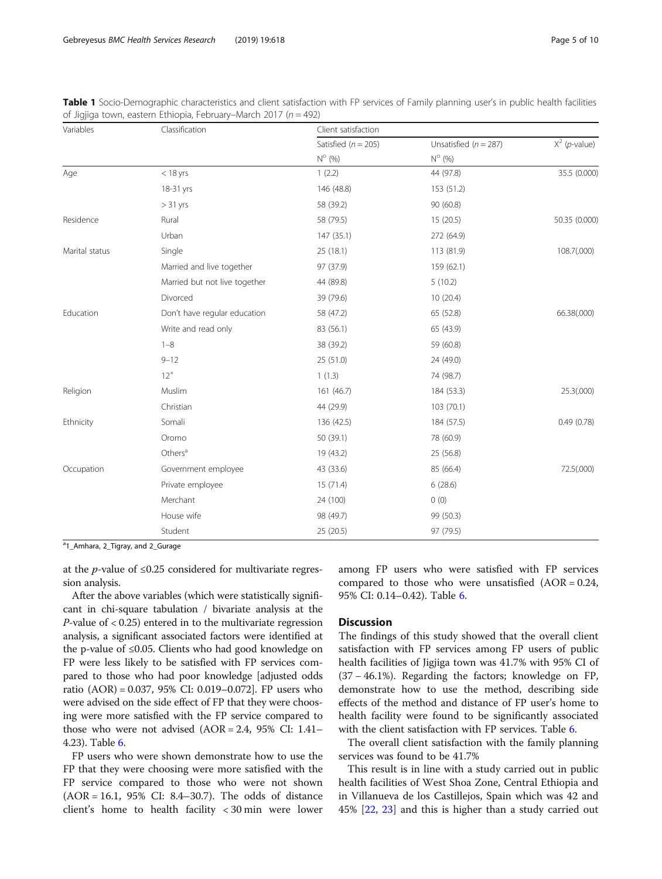<span id="page-4-0"></span>

|  |                                                                  |  |  |  |  | Table 1 Socio-Demographic characteristics and client satisfaction with FP services of Family planning user's in public health facilities |  |
|--|------------------------------------------------------------------|--|--|--|--|------------------------------------------------------------------------------------------------------------------------------------------|--|
|  | of Jigjiga town, eastern Ethiopia, February–March 2017 (n = 492) |  |  |  |  |                                                                                                                                          |  |

| Variables      | Classification                | Client satisfaction     |                         |                          |  |  |  |
|----------------|-------------------------------|-------------------------|-------------------------|--------------------------|--|--|--|
|                |                               | Satisfied ( $n = 205$ ) | Unsatisfied $(n = 287)$ | $X^2$ ( <i>p</i> -value) |  |  |  |
|                |                               | $N^{\circ}$ (%)         | $N^{\circ}$ (%)         |                          |  |  |  |
| Age            | $<$ 18 yrs                    | 1(2.2)                  | 44 (97.8)               | 35.5 (0.000)             |  |  |  |
|                | 18-31 yrs                     | 146 (48.8)              | 153 (51.2)              |                          |  |  |  |
|                | $> 31$ yrs                    | 58 (39.2)               | 90 (60.8)               |                          |  |  |  |
| Residence      | Rural                         | 58 (79.5)               | 15(20.5)                | 50.35 (0.000)            |  |  |  |
|                | Urban                         | 147 (35.1)              | 272 (64.9)              |                          |  |  |  |
| Marital status | Single                        | 25 (18.1)               | 113 (81.9)              | 108.7(.000)              |  |  |  |
|                | Married and live together     | 97 (37.9)               | 159 (62.1)              |                          |  |  |  |
|                | Married but not live together | 44 (89.8)               | 5(10.2)                 |                          |  |  |  |
|                | Divorced                      | 39 (79.6)               | 10(20.4)                |                          |  |  |  |
| Education      | Don't have regular education  | 58 (47.2)               | 65 (52.8)               | 66.38(.000)              |  |  |  |
|                | Write and read only           | 83 (56.1)               | 65 (43.9)               |                          |  |  |  |
|                | $1 - 8$                       | 38 (39.2)               | 59 (60.8)               |                          |  |  |  |
|                | $9 - 12$                      | 25 (51.0)               | 24 (49.0)               |                          |  |  |  |
|                | $12^{+}$                      | 1(1.3)                  | 74 (98.7)               |                          |  |  |  |
| Religion       | Muslim                        | 161 (46.7)              | 184 (53.3)              | 25.3(.000)               |  |  |  |
|                | Christian                     | 44 (29.9)               | 103 (70.1)              |                          |  |  |  |
| Ethnicity      | Somali                        | 136 (42.5)              | 184 (57.5)              | 0.49(0.78)               |  |  |  |
|                | Oromo                         | 50 (39.1)               | 78 (60.9)               |                          |  |  |  |
|                | Others <sup>a</sup>           | 19 (43.2)               | 25 (56.8)               |                          |  |  |  |
| Occupation     | Government employee           | 43 (33.6)               | 85 (66.4)               | 72.5(.000)               |  |  |  |
|                | Private employee              | 15(71.4)                | 6(28.6)                 |                          |  |  |  |
|                | Merchant                      | 24 (100)                | 0(0)                    |                          |  |  |  |
|                | House wife                    | 98 (49.7)               | 99 (50.3)               |                          |  |  |  |
|                | Student                       | 25 (20.5)               | 97 (79.5)               |                          |  |  |  |

<sup>a</sup>1\_Amhara, 2\_Tigray, and 2\_Gurage

at the *p*-value of  $\leq 0.25$  considered for multivariate regression analysis.

After the above variables (which were statistically significant in chi-square tabulation / bivariate analysis at the  $P$ -value of  $< 0.25$ ) entered in to the multivariate regression analysis, a significant associated factors were identified at the p-value of ≤0.05. Clients who had good knowledge on FP were less likely to be satisfied with FP services compared to those who had poor knowledge [adjusted odds ratio (AOR) = 0.037, 95% CI: 0.019–0.072]. FP users who were advised on the side effect of FP that they were choosing were more satisfied with the FP service compared to those who were not advised  $(AOR = 2.4, 95\% \text{ CI: } 1.41-$ 4.23). Table [6](#page-7-0).

FP users who were shown demonstrate how to use the FP that they were choosing were more satisfied with the FP service compared to those who were not shown (AOR = 16.1, 95% CI: 8.4–30.7). The odds of distance client's home to health facility < 30 min were lower among FP users who were satisfied with FP services compared to those who were unsatisfied  $(AOR = 0.24,$ 95% CI: 0.14–0.42). Table [6](#page-7-0).

# **Discussion**

The findings of this study showed that the overall client satisfaction with FP services among FP users of public health facilities of Jigjiga town was 41.7% with 95% CI of (37 − 46.1%). Regarding the factors; knowledge on FP, demonstrate how to use the method, describing side effects of the method and distance of FP user's home to health facility were found to be significantly associated with the client satisfaction with FP services. Table [6](#page-7-0).

The overall client satisfaction with the family planning services was found to be 41.7%

This result is in line with a study carried out in public health facilities of West Shoa Zone, Central Ethiopia and in Villanueva de los Castillejos, Spain which was 42 and 45% [\[22](#page-9-0), [23\]](#page-9-0) and this is higher than a study carried out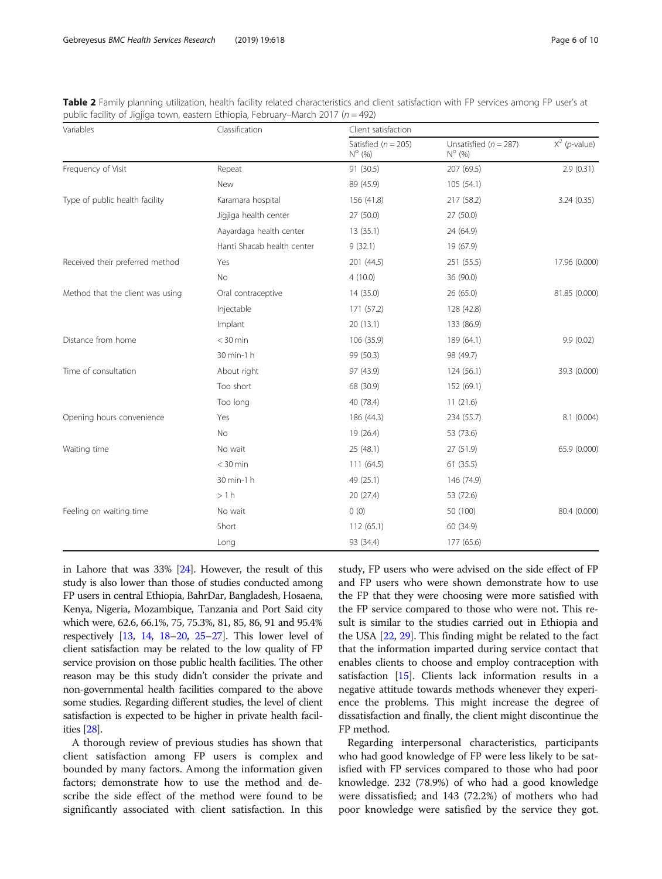<span id="page-5-0"></span>

| Table 2 Family planning utilization, health facility related characteristics and client satisfaction with FP services among FP user's at |  |
|------------------------------------------------------------------------------------------------------------------------------------------|--|
| public facility of Jigjiga town, eastern Ethiopia, February–March 2017 ( $n = 492$ )                                                     |  |

| Variables                        | Classification             | Client satisfaction                        |                                              |                          |  |  |
|----------------------------------|----------------------------|--------------------------------------------|----------------------------------------------|--------------------------|--|--|
|                                  |                            | Satisfied ( $n = 205$ )<br>$N^{\circ}$ (%) | Unsatisfied ( $n = 287$ )<br>$N^{\circ}$ (%) | $X^2$ ( <i>p</i> -value) |  |  |
| Frequency of Visit               | Repeat                     | 91 (30.5)                                  | 207 (69.5)                                   | 2.9(0.31)                |  |  |
|                                  | New                        | 89 (45.9)                                  | 105 (54.1)                                   |                          |  |  |
| Type of public health facility   | Karamara hospital          | 156 (41.8)                                 | 217 (58.2)                                   | 3.24(0.35)               |  |  |
|                                  | Jigjiga health center      | 27 (50.0)                                  | 27 (50.0)                                    |                          |  |  |
|                                  | Aayardaga health center    | 13(35.1)                                   | 24 (64.9)                                    |                          |  |  |
|                                  | Hanti Shacab health center | 9(32.1)                                    | 19 (67.9)                                    |                          |  |  |
| Received their preferred method  | Yes                        | 201 (44.5)                                 | 251 (55.5)                                   | 17.96 (0.000)            |  |  |
|                                  | No                         | 4(10.0)                                    | 36 (90.0)                                    |                          |  |  |
| Method that the client was using | Oral contraceptive         | 14 (35.0)                                  | 26 (65.0)                                    | 81.85 (0.000)            |  |  |
|                                  | Injectable                 | 171 (57.2)                                 | 128 (42.8)                                   |                          |  |  |
|                                  | Implant                    | 20(13.1)                                   | 133 (86.9)                                   |                          |  |  |
| Distance from home               | $<$ 30 min                 | 106 (35.9)                                 | 189 (64.1)                                   | 9.9(0.02)                |  |  |
|                                  | 30 min-1 h                 | 99 (50.3)                                  | 98 (49.7)                                    |                          |  |  |
| Time of consultation             | About right                | 97 (43.9)                                  | 124(56.1)                                    | 39.3 (0.000)             |  |  |
|                                  | Too short                  | 68 (30.9)                                  | 152 (69.1)                                   |                          |  |  |
|                                  | Too long                   | 40 (78.4)                                  | 11(21.6)                                     |                          |  |  |
| Opening hours convenience        | Yes                        | 186 (44.3)                                 | 234 (55.7)                                   | 8.1 (0.004)              |  |  |
|                                  | No                         | 19 (26.4)                                  | 53 (73.6)                                    |                          |  |  |
| Waiting time                     | No wait                    | 25 (48.1)                                  | 27 (51.9)                                    | 65.9 (0.000)             |  |  |
|                                  | $<$ 30 min                 | 111(64.5)                                  | 61(35.5)                                     |                          |  |  |
|                                  | 30 min-1 h                 | 49 (25.1)                                  | 146 (74.9)                                   |                          |  |  |
|                                  | >1 h                       | 20 (27.4)                                  | 53 (72.6)                                    |                          |  |  |
| Feeling on waiting time          | No wait                    | 0(0)                                       | 50 (100)                                     | 80.4 (0.000)             |  |  |
|                                  | Short                      | 112(65.1)                                  | 60 (34.9)                                    |                          |  |  |
|                                  | Long                       | 93 (34.4)                                  | 177 (65.6)                                   |                          |  |  |

in Lahore that was 33% [[24](#page-9-0)]. However, the result of this study is also lower than those of studies conducted among FP users in central Ethiopia, BahrDar, Bangladesh, Hosaena, Kenya, Nigeria, Mozambique, Tanzania and Port Said city which were, 62.6, 66.1%, 75, 75.3%, 81, 85, 86, 91 and 95.4% respectively [\[13,](#page-8-0) [14](#page-9-0), [18](#page-9-0)–[20](#page-9-0), [25](#page-9-0)–[27](#page-9-0)]. This lower level of client satisfaction may be related to the low quality of FP service provision on those public health facilities. The other reason may be this study didn't consider the private and non-governmental health facilities compared to the above some studies. Regarding different studies, the level of client satisfaction is expected to be higher in private health facilities [[28](#page-9-0)].

A thorough review of previous studies has shown that client satisfaction among FP users is complex and bounded by many factors. Among the information given factors; demonstrate how to use the method and describe the side effect of the method were found to be significantly associated with client satisfaction. In this study, FP users who were advised on the side effect of FP and FP users who were shown demonstrate how to use the FP that they were choosing were more satisfied with the FP service compared to those who were not. This result is similar to the studies carried out in Ethiopia and the USA [\[22,](#page-9-0) [29](#page-9-0)]. This finding might be related to the fact that the information imparted during service contact that enables clients to choose and employ contraception with satisfaction [\[15\]](#page-9-0). Clients lack information results in a negative attitude towards methods whenever they experience the problems. This might increase the degree of dissatisfaction and finally, the client might discontinue the FP method.

Regarding interpersonal characteristics, participants who had good knowledge of FP were less likely to be satisfied with FP services compared to those who had poor knowledge. 232 (78.9%) of who had a good knowledge were dissatisfied; and 143 (72.2%) of mothers who had poor knowledge were satisfied by the service they got.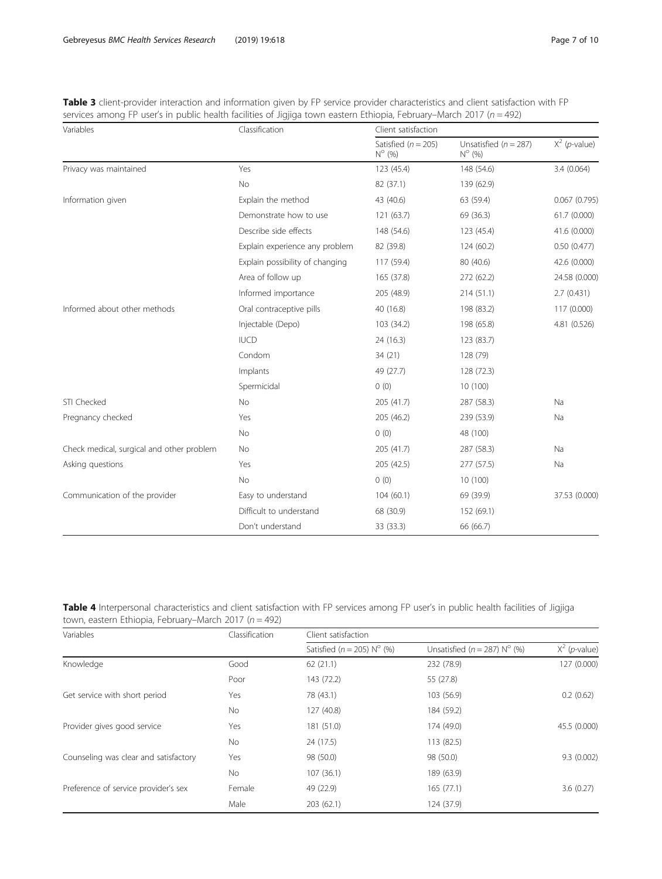<span id="page-6-0"></span>

| Table 3 client-provider interaction and information given by FP service provider characteristics and client satisfaction with FP |  |  |
|----------------------------------------------------------------------------------------------------------------------------------|--|--|
| services among FP user's in public health facilities of Jigjiga town eastern Ethiopia, February–March 2017 ( $n = 492$ )         |  |  |

| Variables                                 | Classification                  | Client satisfaction                        |                                            |                          |  |  |
|-------------------------------------------|---------------------------------|--------------------------------------------|--------------------------------------------|--------------------------|--|--|
|                                           |                                 | Satisfied ( $n = 205$ )<br>$N^{\circ}$ (%) | Unsatisfied $(n = 287)$<br>$N^{\circ}$ (%) | $X^2$ ( <i>p</i> -value) |  |  |
| Privacy was maintained                    | Yes                             | 123 (45.4)                                 | 148 (54.6)                                 | 3.4(0.064)               |  |  |
|                                           | <b>No</b>                       | 82 (37.1)                                  | 139 (62.9)                                 |                          |  |  |
| Information given                         | Explain the method              | 43 (40.6)                                  | 63 (59.4)                                  | 0.067(0.795)             |  |  |
|                                           | Demonstrate how to use          | 121 (63.7)                                 | 69 (36.3)                                  | 61.7(0.000)              |  |  |
|                                           | Describe side effects           | 148 (54.6)                                 | 123 (45.4)                                 | 41.6 (0.000)             |  |  |
|                                           | Explain experience any problem  | 82 (39.8)                                  | 124(60.2)                                  | 0.50(0.477)              |  |  |
|                                           | Explain possibility of changing | 117 (59.4)                                 | 80 (40.6)                                  | 42.6 (0.000)             |  |  |
|                                           | Area of follow up               | 165 (37.8)                                 | 272 (62.2)                                 | 24.58 (0.000)            |  |  |
|                                           | Informed importance             | 205 (48.9)                                 | 214(51.1)                                  | 2.7(0.431)               |  |  |
| Informed about other methods              | Oral contraceptive pills        | 40 (16.8)                                  | 198 (83.2)                                 | 117 (0.000)              |  |  |
|                                           | Injectable (Depo)               | 103 (34.2)                                 | 198 (65.8)                                 | 4.81 (0.526)             |  |  |
|                                           | <b>IUCD</b>                     | 24 (16.3)                                  | 123 (83.7)                                 |                          |  |  |
|                                           | Condom                          | 34(21)                                     | 128 (79)                                   |                          |  |  |
|                                           | Implants                        | 49 (27.7)                                  | 128 (72.3)                                 |                          |  |  |
|                                           | Spermicidal                     | 0(0)                                       | 10 (100)                                   |                          |  |  |
| STI Checked                               | No                              | 205 (41.7)                                 | 287 (58.3)                                 | Na                       |  |  |
| Pregnancy checked                         | Yes                             | 205 (46.2)                                 | 239 (53.9)                                 | Na                       |  |  |
|                                           | <b>No</b>                       | 0(0)                                       | 48 (100)                                   |                          |  |  |
| Check medical, surgical and other problem | No                              | 205 (41.7)                                 | 287 (58.3)                                 | Na                       |  |  |
| Asking questions                          | Yes                             | 205 (42.5)                                 | 277 (57.5)                                 | Na                       |  |  |
|                                           | <b>No</b>                       | 0(0)                                       | 10 (100)                                   |                          |  |  |
| Communication of the provider             | Easy to understand              | 104(60.1)                                  | 69 (39.9)                                  | 37.53 (0.000)            |  |  |
|                                           | Difficult to understand         | 68 (30.9)                                  | 152 (69.1)                                 |                          |  |  |
|                                           | Don't understand                | 33 (33.3)                                  | 66 (66.7)                                  |                          |  |  |

| Table 4 Interpersonal characteristics and client satisfaction with FP services among FP user's in public health facilities of Jigjiga |  |  |  |  |  |  |
|---------------------------------------------------------------------------------------------------------------------------------------|--|--|--|--|--|--|
| town, eastern Ethiopia, February–March 2017 ( $n = 492$ )                                                                             |  |  |  |  |  |  |

| Variables                             | Classification | Client satisfaction            |                                  |                          |  |  |  |
|---------------------------------------|----------------|--------------------------------|----------------------------------|--------------------------|--|--|--|
|                                       |                | Satisfied ( $n = 205$ ) N° (%) | Unsatisfied ( $n = 287$ ) N° (%) | $X^2$ ( <i>p</i> -value) |  |  |  |
| Knowledge                             | Good           | 62(21.1)                       | 232 (78.9)                       | 127 (0.000)              |  |  |  |
|                                       | Poor           | 143 (72.2)                     | 55 (27.8)                        |                          |  |  |  |
| Get service with short period         | Yes            | 78 (43.1)                      | 103 (56.9)                       | 0.2(0.62)                |  |  |  |
|                                       | No             | 127 (40.8)                     | 184 (59.2)                       |                          |  |  |  |
| Provider gives good service           | Yes            | 181 (51.0)                     | 174 (49.0)                       | 45.5 (0.000)             |  |  |  |
|                                       | No             | 24 (17.5)                      | 113 (82.5)                       |                          |  |  |  |
| Counseling was clear and satisfactory | Yes            | 98 (50.0)                      | 98 (50.0)                        | 9.3(0.002)               |  |  |  |
|                                       | No             | 107(36.1)                      | 189 (63.9)                       |                          |  |  |  |
| Preference of service provider's sex  | Female         | 49 (22.9)                      | 165(77.1)                        | 3.6(0.27)                |  |  |  |
|                                       | Male           | 203(62.1)                      | 124 (37.9)                       |                          |  |  |  |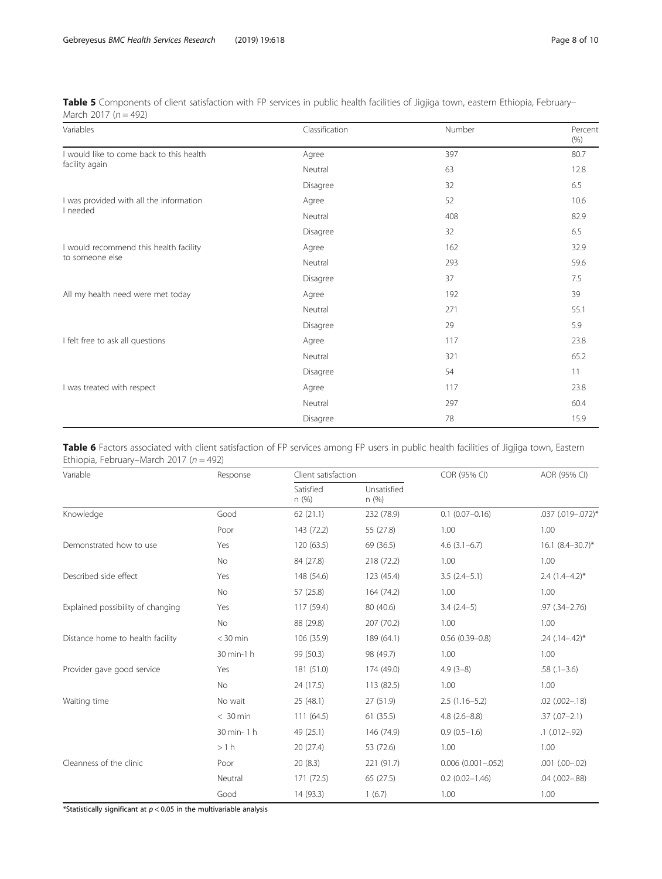<span id="page-7-0"></span>

| Table 5 Components of client satisfaction with FP services in public health facilities of Jigjiga town, eastern Ethiopia, February- |  |  |  |
|-------------------------------------------------------------------------------------------------------------------------------------|--|--|--|
| March 2017 ( $n = 492$ )                                                                                                            |  |  |  |

| Variables                                | Classification | Number | Percent<br>(% ) |
|------------------------------------------|----------------|--------|-----------------|
| I would like to come back to this health | Agree          | 397    | 80.7            |
| facility again                           | Neutral        | 63     | 12.8            |
|                                          | Disagree       | 32     | 6.5             |
| I was provided with all the information  | Agree          | 52     | 10.6            |
| I needed                                 | Neutral        | 408    | 82.9            |
|                                          | Disagree       | 32     | 6.5             |
| I would recommend this health facility   | Agree          | 162    | 32.9            |
| to someone else                          | Neutral        | 293    | 59.6            |
|                                          | Disagree       | 37     | 7.5             |
| All my health need were met today        | Agree          | 192    | 39              |
|                                          | Neutral        | 271    | 55.1            |
|                                          | Disagree       | 29     | 5.9             |
| I felt free to ask all questions         | Agree          | 117    | 23.8            |
|                                          | Neutral        | 321    | 65.2            |
|                                          | Disagree       | 54     | 11              |
| I was treated with respect               | Agree          | 117    | 23.8            |
|                                          | Neutral        | 297    | 60.4            |
|                                          | Disagree       | 78     | 15.9            |

| Table 6 Factors associated with client satisfaction of FP services among FP users in public health facilities of Jigjiga town, Eastern |  |  |  |  |
|----------------------------------------------------------------------------------------------------------------------------------------|--|--|--|--|
| Ethiopia, February–March 2017 ( $n = 492$ )                                                                                            |  |  |  |  |

| Variable                          | Response   | Client satisfaction                      |            | COR (95% CI)            | AOR (95% CI)          |
|-----------------------------------|------------|------------------------------------------|------------|-------------------------|-----------------------|
|                                   |            | Satisfied<br>Unsatisfied<br>n(%)<br>n(%) |            |                         |                       |
| Knowledge                         | Good       | 62(21.1)                                 | 232 (78.9) | $0.1$ (0.07-0.16)       | .037 (.019 -. 072)*   |
|                                   | Poor       | 143 (72.2)                               | 55 (27.8)  | 1.00                    | 1.00                  |
| Demonstrated how to use           | Yes        | 120 (63.5)                               | 69 (36.5)  | $4.6(3.1-6.7)$          | $16.1 (8.4 - 30.7)^*$ |
|                                   | No.        | 84 (27.8)                                | 218 (72.2) | 1.00                    | 1.00                  |
| Described side effect             | Yes        | 148 (54.6)                               | 123 (45.4) | $3.5(2.4-5.1)$          | $2.4(1.4-4.2)$ *      |
|                                   | No         | 57 (25.8)                                | 164 (74.2) | 1.00                    | 1.00                  |
| Explained possibility of changing | Yes        | 117 (59.4)                               | 80 (40.6)  | $3.4(2.4-5)$            | $.97$ $(.34 - 2.76)$  |
|                                   | No         | 88 (29.8)                                | 207 (70.2) | 1.00                    | 1.00                  |
| Distance home to health facility  | $<$ 30 min | 106 (35.9)                               | 189 (64.1) | $0.56(0.39 - 0.8)$      | $.24$ $(.14 - .42)^*$ |
|                                   | 30 min-1 h | 99 (50.3)                                | 98 (49.7)  | 1.00                    | 1.00                  |
| Provider gave good service        | Yes        | 181 (51.0)                               | 174 (49.0) | $4.9(3-8)$              | $.58(.1 - 3.6)$       |
|                                   | No         | 24 (17.5)                                | 113 (82.5) | 1.00                    | 1.00                  |
| Waiting time                      | No wait    | 25 (48.1)                                | 27 (51.9)  | $2.5(1.16-5.2)$         | $.02$ $(.002 - .18)$  |
|                                   | $< 30$ min | 111(64.5)                                | 61(35.5)   | $4.8(2.6 - 8.8)$        | $.37(.07 - 2.1)$      |
|                                   | 30 min-1 h | 49 (25.1)                                | 146 (74.9) | $0.9(0.5-1.6)$          | $.1$ $(.012-.92)$     |
|                                   | >1 h       | 20 (27.4)                                | 53 (72.6)  | 1.00                    | 1.00                  |
| Cleanness of the clinic           | Poor       | 20(8.3)                                  | 221 (91.7) | $0.006$ $(0.001 - 052)$ | $.001$ $(.00-.02)$    |
|                                   | Neutral    | 171 (72.5)                               | 65 (27.5)  | $0.2$ (0.02-1.46)       | .04 (.002-.88)        |
|                                   | Good       | 14 (93.3)                                | 1(6.7)     | 1.00                    | 1.00                  |

\*Statistically significant at  $p < 0.05$  in the multivariable analysis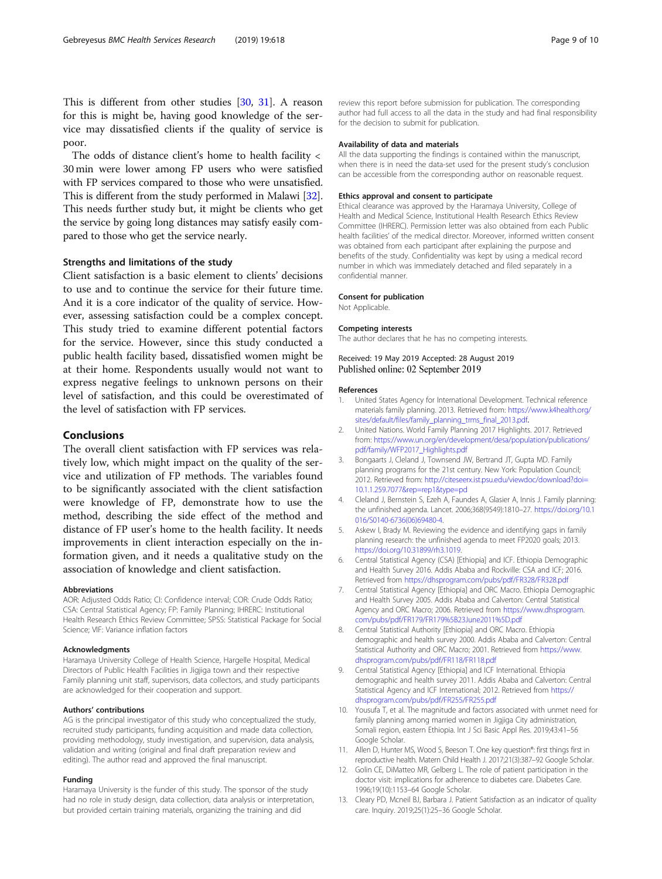<span id="page-8-0"></span>This is different from other studies [\[30,](#page-9-0) [31](#page-9-0)]. A reason for this is might be, having good knowledge of the service may dissatisfied clients if the quality of service is poor.

The odds of distance client's home to health facility < 30 min were lower among FP users who were satisfied with FP services compared to those who were unsatisfied. This is different from the study performed in Malawi [[32](#page-9-0)]. This needs further study but, it might be clients who get the service by going long distances may satisfy easily compared to those who get the service nearly.

#### Strengths and limitations of the study

Client satisfaction is a basic element to clients' decisions to use and to continue the service for their future time. And it is a core indicator of the quality of service. However, assessing satisfaction could be a complex concept. This study tried to examine different potential factors for the service. However, since this study conducted a public health facility based, dissatisfied women might be at their home. Respondents usually would not want to express negative feelings to unknown persons on their level of satisfaction, and this could be overestimated of the level of satisfaction with FP services.

# Conclusions

The overall client satisfaction with FP services was relatively low, which might impact on the quality of the service and utilization of FP methods. The variables found to be significantly associated with the client satisfaction were knowledge of FP, demonstrate how to use the method, describing the side effect of the method and distance of FP user's home to the health facility. It needs improvements in client interaction especially on the information given, and it needs a qualitative study on the association of knowledge and client satisfaction.

#### Abbreviations

AOR: Adjusted Odds Ratio; CI: Confidence interval; COR: Crude Odds Ratio; CSA: Central Statistical Agency; FP: Family Planning; IHRERC: Institutional Health Research Ethics Review Committee; SPSS: Statistical Package for Social Science; VIF: Variance inflation factors

#### Acknowledgments

Haramaya University College of Health Science, Hargelle Hospital, Medical Directors of Public Health Facilities in Jigjiga town and their respective Family planning unit staff, supervisors, data collectors, and study participants are acknowledged for their cooperation and support.

#### Authors' contributions

AG is the principal investigator of this study who conceptualized the study, recruited study participants, funding acquisition and made data collection, providing methodology, study investigation, and supervision, data analysis, validation and writing (original and final draft preparation review and editing). The author read and approved the final manuscript.

#### Funding

Haramaya University is the funder of this study. The sponsor of the study had no role in study design, data collection, data analysis or interpretation, but provided certain training materials, organizing the training and did

review this report before submission for publication. The corresponding author had full access to all the data in the study and had final responsibility for the decision to submit for publication.

#### Availability of data and materials

All the data supporting the findings is contained within the manuscript, when there is in need the data-set used for the present study's conclusion can be accessible from the corresponding author on reasonable request.

#### Ethics approval and consent to participate

Ethical clearance was approved by the Haramaya University, College of Health and Medical Science, Institutional Health Research Ethics Review Committee (IHRERC). Permission letter was also obtained from each Public health facilities' of the medical director. Moreover, informed written consent was obtained from each participant after explaining the purpose and benefits of the study. Confidentiality was kept by using a medical record number in which was immediately detached and filed separately in a confidential manner.

#### Consent for publication

Not Applicable.

#### Competing interests

The author declares that he has no competing interests.

Received: 19 May 2019 Accepted: 28 August 2019 Published online: 02 September 2019

#### References

- 1. United States Agency for International Development. Technical reference materials family planning. 2013. Retrieved from: [https://www.k4health.org/](https://www.k4health.org/sites/default/files/family_planning_trms_final_2013.pdf) [sites/default/files/family\\_planning\\_trms\\_final\\_2013.pdf](https://www.k4health.org/sites/default/files/family_planning_trms_final_2013.pdf).
- 2. United Nations. World Family Planning 2017 Highlights. 2017. Retrieved from: [https://www.un.org/en/development/desa/population/publications/](https://www.un.org/en/development/desa/population/publications/pdf/family/WFP2017_Highlights.pdf) [pdf/family/WFP2017\\_Highlights.pdf](https://www.un.org/en/development/desa/population/publications/pdf/family/WFP2017_Highlights.pdf)
- Bongaarts J, Cleland J, Townsend JW, Bertrand JT, Gupta MD. Family planning programs for the 21st century. New York: Population Council; 2012. Retrieved from: [http://citeseerx.ist.psu.edu/viewdoc/download?doi=](http://citeseerx.ist.psu.edu/viewdoc/download?doi=10.1.1.259.7077&rep=rep1&type=pd) [10.1.1.259.7077&rep=rep1&type=pd](http://citeseerx.ist.psu.edu/viewdoc/download?doi=10.1.1.259.7077&rep=rep1&type=pd)
- 4. Cleland J, Bernstein S, Ezeh A, Faundes A, Glasier A, Innis J. Family planning: the unfinished agenda. Lancet. 2006;368(9549):1810–27. [https://doi.org/10.1](https://doi.org/10.1016/S0140-6736(06)69480-4) [016/S0140-6736\(06\)69480-4](https://doi.org/10.1016/S0140-6736(06)69480-4).
- 5. Askew I, Brady M. Reviewing the evidence and identifying gaps in family planning research: the unfinished agenda to meet FP2020 goals; 2013. <https://doi.org/10.31899/rh3.1019>.
- 6. Central Statistical Agency (CSA) [Ethiopia] and ICF. Ethiopia Demographic and Health Survey 2016. Addis Ababa and Rockville: CSA and ICF; 2016. Retrieved from <https://dhsprogram.com/pubs/pdf/FR328/FR328.pdf>
- 7. Central Statistical Agency [Ethiopia] and ORC Macro. Ethiopia Demographic and Health Survey 2005. Addis Ababa and Calverton: Central Statistical Agency and ORC Macro; 2006. Retrieved from [https://www.dhsprogram.](https://www.dhsprogram.com/pubs/pdf/FR179/FR179%5B23June2011%5D.pdf) [com/pubs/pdf/FR179/FR179%5B23June2011%5D.pdf](https://www.dhsprogram.com/pubs/pdf/FR179/FR179%5B23June2011%5D.pdf)
- 8. Central Statistical Authority [Ethiopia] and ORC Macro. Ethiopia demographic and health survey 2000. Addis Ababa and Calverton: Central Statistical Authority and ORC Macro; 2001. Retrieved from [https://www.](https://www.dhsprogram.com/pubs/pdf/FR118/FR118.pdf) [dhsprogram.com/pubs/pdf/FR118/FR118.pdf](https://www.dhsprogram.com/pubs/pdf/FR118/FR118.pdf)
- 9. Central Statistical Agency [Ethiopia] and ICF International. Ethiopia demographic and health survey 2011. Addis Ababa and Calverton: Central Statistical Agency and ICF International; 2012. Retrieved from [https://](https://dhsprogram.com/pubs/pdf/FR255/FR255.pdf) [dhsprogram.com/pubs/pdf/FR255/FR255.pdf](https://dhsprogram.com/pubs/pdf/FR255/FR255.pdf)
- 10. Yousufa T, et al. The magnitude and factors associated with unmet need for family planning among married women in Jigjiga City administration, Somali region, eastern Ethiopia. Int J Sci Basic Appl Res. 2019;43:41–56 Google Scholar.
- 11. Allen D, Hunter MS, Wood S, Beeson T. One key question®: first things first in reproductive health. Matern Child Health J. 2017;21(3):387–92 Google Scholar.
- 12. Golin CE, DiMatteo MR, Gelberg L. The role of patient participation in the doctor visit: implications for adherence to diabetes care. Diabetes Care. 1996;19(10):1153–64 Google Scholar.
- 13. Cleary PD, Mcneil BJ, Barbara J. Patient Satisfaction as an indicator of quality care. Inquiry. 2019;25(1):25–36 Google Scholar.